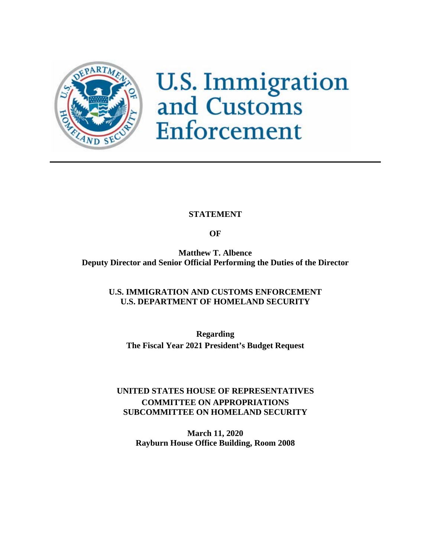

**U.S. Immigration**<br>and Customs Enforcement

# **STATEMENT**

**OF**

**Matthew T. Albence Deputy Director and Senior Official Performing the Duties of the Director** 

**U.S. IMMIGRATION AND CUSTOMS ENFORCEMENT U.S. DEPARTMENT OF HOMELAND SECURITY**

**Regarding The Fiscal Year 2021 President's Budget Request**

**UNITED STATES HOUSE OF REPRESENTATIVES COMMITTEE ON APPROPRIATIONS SUBCOMMITTEE ON HOMELAND SECURITY**

**March 11, 2020 Rayburn House Office Building, Room 2008**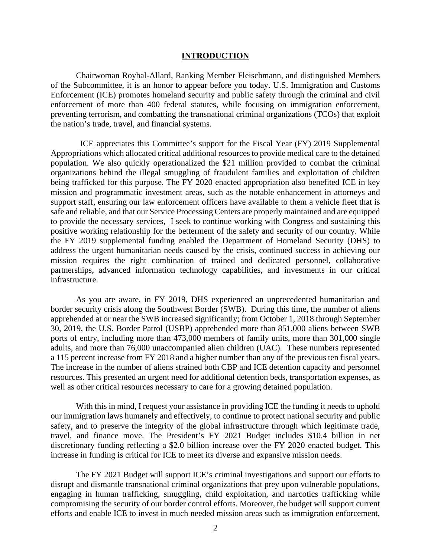#### **INTRODUCTION**

Chairwoman Roybal-Allard, Ranking Member Fleischmann, and distinguished Members of the Subcommittee, it is an honor to appear before you today. U.S. Immigration and Customs Enforcement (ICE) promotes homeland security and public safety through the criminal and civil enforcement of more than 400 federal statutes, while focusing on immigration enforcement, preventing terrorism, and combatting the transnational criminal organizations (TCOs) that exploit the nation's trade, travel, and financial systems.

 ICE appreciates this Committee's support for the Fiscal Year (FY) 2019 Supplemental Appropriations which allocated critical additional resources to provide medical care to the detained population. We also quickly operationalized the \$21 million provided to combat the criminal organizations behind the illegal smuggling of fraudulent families and exploitation of children being trafficked for this purpose. The FY 2020 enacted appropriation also benefited ICE in key mission and programmatic investment areas, such as the notable enhancement in attorneys and support staff, ensuring our law enforcement officers have available to them a vehicle fleet that is safe and reliable, and that our Service Processing Centers are properly maintained and are equipped to provide the necessary services, I seek to continue working with Congress and sustaining this positive working relationship for the betterment of the safety and security of our country. While the FY 2019 supplemental funding enabled the Department of Homeland Security (DHS) to address the urgent humanitarian needs caused by the crisis, continued success in achieving our mission requires the right combination of trained and dedicated personnel, collaborative partnerships, advanced information technology capabilities, and investments in our critical infrastructure.

As you are aware, in FY 2019, DHS experienced an unprecedented humanitarian and border security crisis along the Southwest Border (SWB). During this time, the number of aliens apprehended at or near the SWB increased significantly; from October 1, 2018 through September 30, 2019, the U.S. Border Patrol (USBP) apprehended more than 851,000 aliens between SWB ports of entry, including more than 473,000 members of family units, more than 301,000 single adults, and more than 76,000 unaccompanied alien children (UAC). These numbers represented a 115 percent increase from FY 2018 and a higher number than any of the previous ten fiscal years. The increase in the number of aliens strained both CBP and ICE detention capacity and personnel resources. This presented an urgent need for additional detention beds, transportation expenses, as well as other critical resources necessary to care for a growing detained population.

With this in mind, I request your assistance in providing ICE the funding it needs to uphold our immigration laws humanely and effectively, to continue to protect national security and public safety, and to preserve the integrity of the global infrastructure through which legitimate trade, travel, and finance move. The President's FY 2021 Budget includes \$10.4 billion in net discretionary funding reflecting a \$2.0 billion increase over the FY 2020 enacted budget. This increase in funding is critical for ICE to meet its diverse and expansive mission needs.

The FY 2021 Budget will support ICE's criminal investigations and support our efforts to disrupt and dismantle transnational criminal organizations that prey upon vulnerable populations, engaging in human trafficking, smuggling, child exploitation, and narcotics trafficking while compromising the security of our border control efforts. Moreover, the budget will support current efforts and enable ICE to invest in much needed mission areas such as immigration enforcement,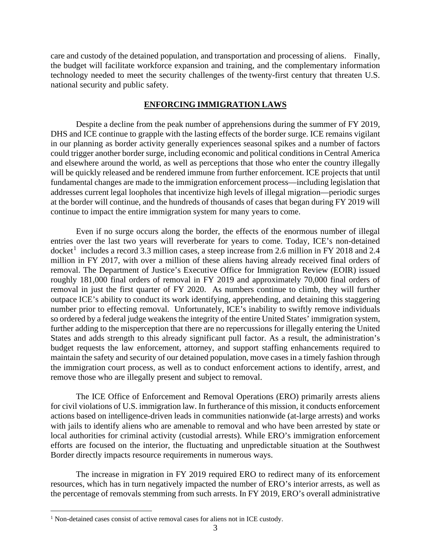care and custody of the detained population, and transportation and processing of aliens. Finally, the budget will facilitate workforce expansion and training, and the complementary information technology needed to meet the security challenges of the twenty-first century that threaten U.S. national security and public safety.

#### **ENFORCING IMMIGRATION LAWS**

Despite a decline from the peak number of apprehensions during the summer of FY 2019, DHS and ICE continue to grapple with the lasting effects of the border surge. ICE remains vigilant in our planning as border activity generally experiences seasonal spikes and a number of factors could trigger another border surge, including economic and political conditions in Central America and elsewhere around the world, as well as perceptions that those who enter the country illegally will be quickly released and be rendered immune from further enforcement. ICE projects that until fundamental changes are made to the immigration enforcement process—including legislation that addresses current legal loopholes that incentivize high levels of illegal migration—periodic surges at the border will continue, and the hundreds of thousands of cases that began during FY 2019 will continue to impact the entire immigration system for many years to come.

Even if no surge occurs along the border, the effects of the enormous number of illegal entries over the last two years will reverberate for years to come. Today, ICE's non-detained  $d$ ocket<sup>[1](#page-2-0)</sup> includes a record 3.3 million cases, a steep increase from 2.6 million in FY 2018 and 2.4 million in FY 2017, with over a million of these aliens having already received final orders of removal. The Department of Justice's Executive Office for Immigration Review (EOIR) issued roughly 181,000 final orders of removal in FY 2019 and approximately 70,000 final orders of removal in just the first quarter of FY 2020. As numbers continue to climb, they will further outpace ICE's ability to conduct its work identifying, apprehending, and detaining this staggering number prior to effecting removal. Unfortunately, ICE's inability to swiftly remove individuals so ordered by a federal judge weakens the integrity of the entire United States' immigration system, further adding to the misperception that there are no repercussions for illegally entering the United States and adds strength to this already significant pull factor. As a result, the administration's budget requests the law enforcement, attorney, and support staffing enhancements required to maintain the safety and security of our detained population, move cases in a timely fashion through the immigration court process, as well as to conduct enforcement actions to identify, arrest, and remove those who are illegally present and subject to removal.

The ICE Office of Enforcement and Removal Operations (ERO) primarily arrests aliens for civil violations of U.S. immigration law. In furtherance of this mission, it conducts enforcement actions based on intelligence-driven leads in communities nationwide (at-large arrests) and works with jails to identify aliens who are amenable to removal and who have been arrested by state or local authorities for criminal activity (custodial arrests). While ERO's immigration enforcement efforts are focused on the interior, the fluctuating and unpredictable situation at the Southwest Border directly impacts resource requirements in numerous ways.

The increase in migration in FY 2019 required ERO to redirect many of its enforcement resources, which has in turn negatively impacted the number of ERO's interior arrests, as well as the percentage of removals stemming from such arrests. In FY 2019, ERO's overall administrative

<span id="page-2-0"></span><sup>&</sup>lt;sup>1</sup> Non-detained cases consist of active removal cases for aliens not in ICE custody.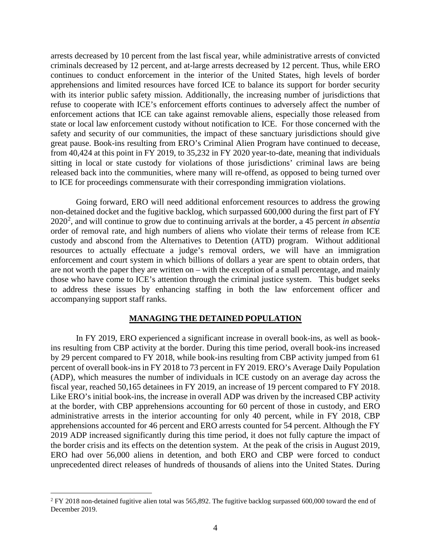arrests decreased by 10 percent from the last fiscal year, while administrative arrests of convicted criminals decreased by 12 percent, and at-large arrests decreased by 12 percent. Thus, while ERO continues to conduct enforcement in the interior of the United States, high levels of border apprehensions and limited resources have forced ICE to balance its support for border security with its interior public safety mission. Additionally, the increasing number of jurisdictions that refuse to cooperate with ICE's enforcement efforts continues to adversely affect the number of enforcement actions that ICE can take against removable aliens, especially those released from state or local law enforcement custody without notification to ICE. For those concerned with the safety and security of our communities, the impact of these sanctuary jurisdictions should give great pause. Book-ins resulting from ERO's Criminal Alien Program have continued to decease, from 40,424 at this point in FY 2019, to 35,232 in FY 2020 year-to-date, meaning that individuals sitting in local or state custody for violations of those jurisdictions' criminal laws are being released back into the communities, where many will re-offend, as opposed to being turned over to ICE for proceedings commensurate with their corresponding immigration violations.

Going forward, ERO will need additional enforcement resources to address the growing non-detained docket and the fugitive backlog, which surpassed 600,000 during the first part of FY [2](#page-3-0)020<sup>2</sup>, and will continue to grow due to continuing arrivals at the border, a 45 percent *in absentia* order of removal rate, and high numbers of aliens who violate their terms of release from ICE custody and abscond from the Alternatives to Detention (ATD) program. Without additional resources to actually effectuate a judge's removal orders, we will have an immigration enforcement and court system in which billions of dollars a year are spent to obtain orders, that are not worth the paper they are written on – with the exception of a small percentage, and mainly those who have come to ICE's attention through the criminal justice system. This budget seeks to address these issues by enhancing staffing in both the law enforcement officer and accompanying support staff ranks.

#### **MANAGING THE DETAINED POPULATION**

In FY 2019, ERO experienced a significant increase in overall book-ins, as well as bookins resulting from CBP activity at the border. During this time period, overall book-ins increased by 29 percent compared to FY 2018, while book-ins resulting from CBP activity jumped from 61 percent of overall book-ins in FY 2018 to 73 percent in FY 2019. ERO's Average Daily Population (ADP), which measures the number of individuals in ICE custody on an average day across the fiscal year, reached 50,165 detainees in FY 2019, an increase of 19 percent compared to FY 2018. Like ERO's initial book-ins, the increase in overall ADP was driven by the increased CBP activity at the border, with CBP apprehensions accounting for 60 percent of those in custody, and ERO administrative arrests in the interior accounting for only 40 percent, while in FY 2018, CBP apprehensions accounted for 46 percent and ERO arrests counted for 54 percent. Although the FY 2019 ADP increased significantly during this time period, it does not fully capture the impact of the border crisis and its effects on the detention system. At the peak of the crisis in August 2019, ERO had over 56,000 aliens in detention, and both ERO and CBP were forced to conduct unprecedented direct releases of hundreds of thousands of aliens into the United States. During

<span id="page-3-0"></span><sup>&</sup>lt;sup>2</sup> FY 2018 non-detained fugitive alien total was 565,892. The fugitive backlog surpassed 600,000 toward the end of December 2019.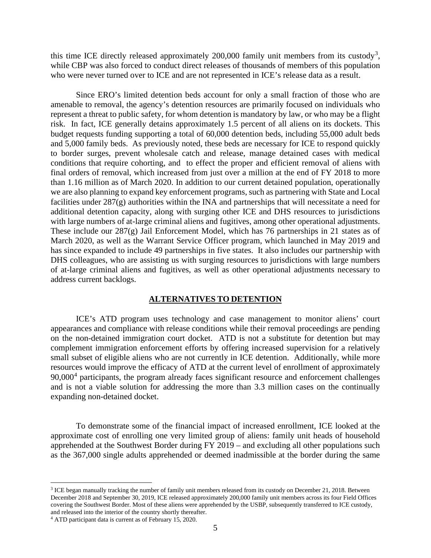this time ICE directly released approximately  $200,000$  family unit members from its custody<sup>[3](#page-4-0)</sup>, while CBP was also forced to conduct direct releases of thousands of members of this population who were never turned over to ICE and are not represented in ICE's release data as a result.

Since ERO's limited detention beds account for only a small fraction of those who are amenable to removal, the agency's detention resources are primarily focused on individuals who represent a threat to public safety, for whom detention is mandatory by law, or who may be a flight risk. In fact, ICE generally detains approximately 1.5 percent of all aliens on its dockets. This budget requests funding supporting a total of 60,000 detention beds, including 55,000 adult beds and 5,000 family beds. As previously noted, these beds are necessary for ICE to respond quickly to border surges, prevent wholesale catch and release, manage detained cases with medical conditions that require cohorting, and to effect the proper and efficient removal of aliens with final orders of removal, which increased from just over a million at the end of FY 2018 to more than 1.16 million as of March 2020. In addition to our current detained population, operationally we are also planning to expand key enforcement programs, such as partnering with State and Local facilities under 287(g) authorities within the INA and partnerships that will necessitate a need for additional detention capacity, along with surging other ICE and DHS resources to jurisdictions with large numbers of at-large criminal aliens and fugitives, among other operational adjustments. These include our 287(g) Jail Enforcement Model, which has 76 partnerships in 21 states as of March 2020, as well as the Warrant Service Officer program, which launched in May 2019 and has since expanded to include 49 partnerships in five states. It also includes our partnership with DHS colleagues, who are assisting us with surging resources to jurisdictions with large numbers of at-large criminal aliens and fugitives, as well as other operational adjustments necessary to address current backlogs.

# **ALTERNATIVES TO DETENTION**

ICE's ATD program uses technology and case management to monitor aliens' court appearances and compliance with release conditions while their removal proceedings are pending on the non-detained immigration court docket. ATD is not a substitute for detention but may complement immigration enforcement efforts by offering increased supervision for a relatively small subset of eligible aliens who are not currently in ICE detention. Additionally, while more resources would improve the efficacy of ATD at the current level of enrollment of approximately  $90,000<sup>4</sup>$  $90,000<sup>4</sup>$  $90,000<sup>4</sup>$  participants, the program already faces significant resource and enforcement challenges and is not a viable solution for addressing the more than 3.3 million cases on the continually expanding non-detained docket.

To demonstrate some of the financial impact of increased enrollment, ICE looked at the approximate cost of enrolling one very limited group of aliens: family unit heads of household apprehended at the Southwest Border during FY 2019 – and excluding all other populations such as the 367,000 single adults apprehended or deemed inadmissible at the border during the same

<span id="page-4-0"></span><sup>3</sup> ICE began manually tracking the number of family unit members released from its custody on December 21, 2018. Between December 2018 and September 30, 2019, ICE released approximately 200,000 family unit members across its four Field Offices covering the Southwest Border. Most of these aliens were apprehended by the USBP, subsequently transferred to ICE custody, and released into the interior of the country shortly thereafter.

<span id="page-4-1"></span><sup>4</sup> ATD participant data is current as of February 15, 2020.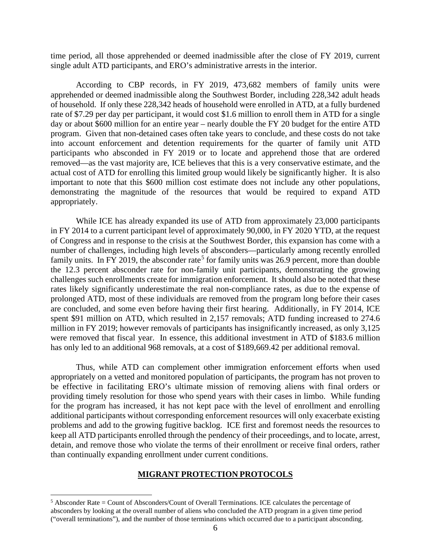time period, all those apprehended or deemed inadmissible after the close of FY 2019, current single adult ATD participants, and ERO's administrative arrests in the interior.

According to CBP records, in FY 2019, 473,682 members of family units were apprehended or deemed inadmissible along the Southwest Border, including 228,342 adult heads of household. If only these 228,342 heads of household were enrolled in ATD, at a fully burdened rate of \$7.29 per day per participant, it would cost \$1.6 million to enroll them in ATD for a single day or about \$600 million for an entire year – nearly double the FY 20 budget for the entire ATD program. Given that non-detained cases often take years to conclude, and these costs do not take into account enforcement and detention requirements for the quarter of family unit ATD participants who absconded in FY 2019 or to locate and apprehend those that are ordered removed—as the vast majority are, ICE believes that this is a very conservative estimate, and the actual cost of ATD for enrolling this limited group would likely be significantly higher. It is also important to note that this \$600 million cost estimate does not include any other populations, demonstrating the magnitude of the resources that would be required to expand ATD appropriately.

While ICE has already expanded its use of ATD from approximately 23,000 participants in FY 2014 to a current participant level of approximately 90,000, in FY 2020 YTD, at the request of Congress and in response to the crisis at the Southwest Border, this expansion has come with a number of challenges, including high levels of absconders—particularly among recently enrolled family units. In FY 2019, the absconder rate<sup>[5](#page-5-0)</sup> for family units was 26.9 percent, more than double the 12.3 percent absconder rate for non-family unit participants, demonstrating the growing challenges such enrollments create for immigration enforcement. It should also be noted that these rates likely significantly underestimate the real non-compliance rates, as due to the expense of prolonged ATD, most of these individuals are removed from the program long before their cases are concluded, and some even before having their first hearing. Additionally, in FY 2014, ICE spent \$91 million on ATD, which resulted in 2,157 removals; ATD funding increased to 274.6 million in FY 2019; however removals of participants has insignificantly increased, as only 3,125 were removed that fiscal year. In essence, this additional investment in ATD of \$183.6 million has only led to an additional 968 removals, at a cost of \$189,669.42 per additional removal.

Thus, while ATD can complement other immigration enforcement efforts when used appropriately on a vetted and monitored population of participants, the program has not proven to be effective in facilitating ERO's ultimate mission of removing aliens with final orders or providing timely resolution for those who spend years with their cases in limbo. While funding for the program has increased, it has not kept pace with the level of enrollment and enrolling additional participants without corresponding enforcement resources will only exacerbate existing problems and add to the growing fugitive backlog. ICE first and foremost needs the resources to keep all ATD participants enrolled through the pendency of their proceedings, and to locate, arrest, detain, and remove those who violate the terms of their enrollment or receive final orders, rather than continually expanding enrollment under current conditions.

# **MIGRANT PROTECTION PROTOCOLS**

<span id="page-5-0"></span><sup>5</sup> Absconder Rate = Count of Absconders/Count of Overall Terminations. ICE calculates the percentage of absconders by looking at the overall number of aliens who concluded the ATD program in a given time period ("overall terminations"), and the number of those terminations which occurred due to a participant absconding.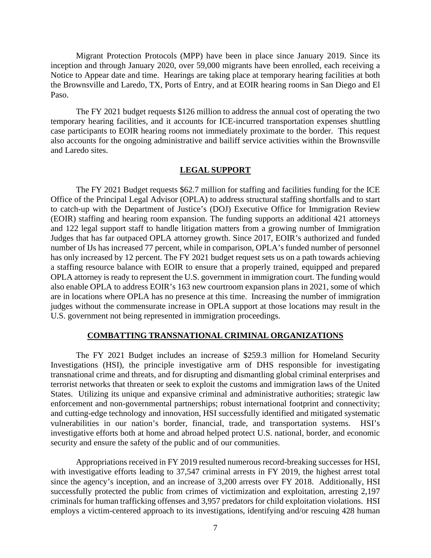Migrant Protection Protocols (MPP) have been in place since January 2019. Since its inception and through January 2020, over 59,000 migrants have been enrolled, each receiving a Notice to Appear date and time. Hearings are taking place at temporary hearing facilities at both the Brownsville and Laredo, TX, Ports of Entry, and at EOIR hearing rooms in San Diego and El Paso.

The FY 2021 budget requests \$126 million to address the annual cost of operating the two temporary hearing facilities, and it accounts for ICE-incurred transportation expenses shuttling case participants to EOIR hearing rooms not immediately proximate to the border. This request also accounts for the ongoing administrative and bailiff service activities within the Brownsville and Laredo sites.

## **LEGAL SUPPORT**

The FY 2021 Budget requests \$62.7 million for staffing and facilities funding for the ICE Office of the Principal Legal Advisor (OPLA) to address structural staffing shortfalls and to start to catch-up with the Department of Justice's (DOJ) Executive Office for Immigration Review (EOIR) staffing and hearing room expansion. The funding supports an additional 421 attorneys and 122 legal support staff to handle litigation matters from a growing number of Immigration Judges that has far outpaced OPLA attorney growth. Since 2017, EOIR's authorized and funded number of IJs has increased 77 percent, while in comparison, OPLA's funded number of personnel has only increased by 12 percent. The FY 2021 budget request sets us on a path towards achieving a staffing resource balance with EOIR to ensure that a properly trained, equipped and prepared OPLA attorney is ready to represent the U.S. government in immigration court. The funding would also enable OPLA to address EOIR's 163 new courtroom expansion plans in 2021, some of which are in locations where OPLA has no presence at this time. Increasing the number of immigration judges without the commensurate increase in OPLA support at those locations may result in the U.S. government not being represented in immigration proceedings.

#### **COMBATTING TRANSNATIONAL CRIMINAL ORGANIZATIONS**

The FY 2021 Budget includes an increase of \$259.3 million for Homeland Security Investigations (HSI), the principle investigative arm of DHS responsible for investigating transnational crime and threats, and for disrupting and dismantling global criminal enterprises and terrorist networks that threaten or seek to exploit the customs and immigration laws of the United States. Utilizing its unique and expansive criminal and administrative authorities; strategic law enforcement and non-governmental partnerships; robust international footprint and connectivity; and cutting-edge technology and innovation, HSI successfully identified and mitigated systematic vulnerabilities in our nation's border, financial, trade, and transportation systems. HSI's investigative efforts both at home and abroad helped protect U.S. national, border, and economic security and ensure the safety of the public and of our communities.

Appropriations received in FY 2019 resulted numerous record-breaking successes for HSI, with investigative efforts leading to 37,547 criminal arrests in FY 2019, the highest arrest total since the agency's inception, and an increase of 3,200 arrests over FY 2018. Additionally, HSI successfully protected the public from crimes of victimization and exploitation, arresting 2,197 criminals for human trafficking offenses and 3,957 predators for child exploitation violations. HSI employs a victim-centered approach to its investigations, identifying and/or rescuing 428 human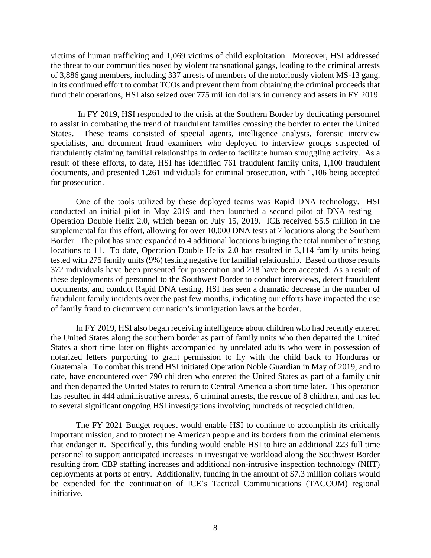victims of human trafficking and 1,069 victims of child exploitation. Moreover, HSI addressed the threat to our communities posed by violent transnational gangs, leading to the criminal arrests of 3,886 gang members, including 337 arrests of members of the notoriously violent MS-13 gang. In its continued effort to combat TCOs and prevent them from obtaining the criminal proceeds that fund their operations, HSI also seized over 775 million dollars in currency and assets in FY 2019.

In FY 2019, HSI responded to the crisis at the Southern Border by dedicating personnel to assist in combating the trend of fraudulent families crossing the border to enter the United States. These teams consisted of special agents, intelligence analysts, forensic interview specialists, and document fraud examiners who deployed to interview groups suspected of fraudulently claiming familial relationships in order to facilitate human smuggling activity. As a result of these efforts, to date, HSI has identified 761 fraudulent family units, 1,100 fraudulent documents, and presented 1,261 individuals for criminal prosecution, with 1,106 being accepted for prosecution.

One of the tools utilized by these deployed teams was Rapid DNA technology. HSI conducted an initial pilot in May 2019 and then launched a second pilot of DNA testing— Operation Double Helix 2.0, which began on July 15, 2019. ICE received \$5.5 million in the supplemental for this effort, allowing for over 10,000 DNA tests at 7 locations along the Southern Border. The pilot has since expanded to 4 additional locations bringing the total number of testing locations to 11. To date, Operation Double Helix 2.0 has resulted in 3,114 family units being tested with 275 family units (9%) testing negative for familial relationship. Based on those results 372 individuals have been presented for prosecution and 218 have been accepted. As a result of these deployments of personnel to the Southwest Border to conduct interviews, detect fraudulent documents, and conduct Rapid DNA testing, HSI has seen a dramatic decrease in the number of fraudulent family incidents over the past few months, indicating our efforts have impacted the use of family fraud to circumvent our nation's immigration laws at the border.

In FY 2019, HSI also began receiving intelligence about children who had recently entered the United States along the southern border as part of family units who then departed the United States a short time later on flights accompanied by unrelated adults who were in possession of notarized letters purporting to grant permission to fly with the child back to Honduras or Guatemala. To combat this trend HSI initiated Operation Noble Guardian in May of 2019, and to date, have encountered over 790 children who entered the United States as part of a family unit and then departed the United States to return to Central America a short time later. This operation has resulted in 444 administrative arrests, 6 criminal arrests, the rescue of 8 children, and has led to several significant ongoing HSI investigations involving hundreds of recycled children.

The FY 2021 Budget request would enable HSI to continue to accomplish its critically important mission, and to protect the American people and its borders from the criminal elements that endanger it. Specifically, this funding would enable HSI to hire an additional 223 full time personnel to support anticipated increases in investigative workload along the Southwest Border resulting from CBP staffing increases and additional non-intrusive inspection technology (NIIT) deployments at ports of entry. Additionally, funding in the amount of \$7.3 million dollars would be expended for the continuation of ICE's Tactical Communications (TACCOM) regional initiative.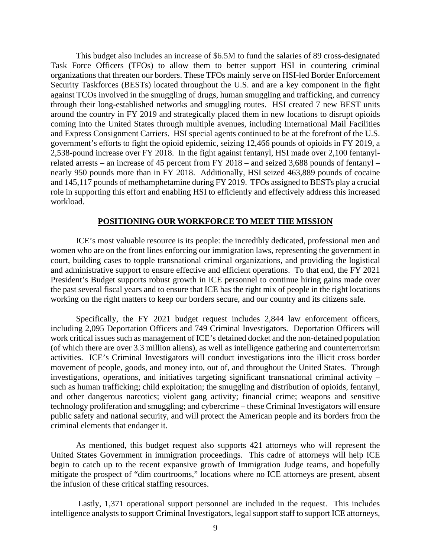This budget also includes an increase of \$6.5M to fund the salaries of 89 cross-designated Task Force Officers (TFOs) to allow them to better support HSI in countering criminal organizations that threaten our borders. These TFOs mainly serve on HSI-led Border Enforcement Security Taskforces (BESTs) located throughout the U.S. and are a key component in the fight against TCOs involved in the smuggling of drugs, human smuggling and trafficking, and currency through their long-established networks and smuggling routes. HSI created 7 new BEST units around the country in FY 2019 and strategically placed them in new locations to disrupt opioids coming into the United States through multiple avenues, including International Mail Facilities and Express Consignment Carriers. HSI special agents continued to be at the forefront of the U.S. government's efforts to fight the opioid epidemic, seizing 12,466 pounds of opioids in FY 2019, a 2,538-pound increase over FY 2018. In the fight against fentanyl, HSI made over 2,100 fentanylrelated arrests – an increase of 45 percent from FY 2018 – and seized 3,688 pounds of fentanyl – nearly 950 pounds more than in FY 2018. Additionally, HSI seized 463,889 pounds of cocaine and 145,117 pounds of methamphetamine during FY 2019. TFOs assigned to BESTs play a crucial role in supporting this effort and enabling HSI to efficiently and effectively address this increased workload.

#### **POSITIONING OUR WORKFORCE TO MEET THE MISSION**

ICE's most valuable resource is its people: the incredibly dedicated, professional men and women who are on the front lines enforcing our immigration laws, representing the government in court, building cases to topple transnational criminal organizations, and providing the logistical and administrative support to ensure effective and efficient operations. To that end, the FY 2021 President's Budget supports robust growth in ICE personnel to continue hiring gains made over the past several fiscal years and to ensure that ICE has the right mix of people in the right locations working on the right matters to keep our borders secure, and our country and its citizens safe.

 Specifically, the FY 2021 budget request includes 2,844 law enforcement officers, including 2,095 Deportation Officers and 749 Criminal Investigators. Deportation Officers will work critical issues such as management of ICE's detained docket and the non-detained population (of which there are over 3.3 million aliens), as well as intelligence gathering and counterterrorism activities. ICE's Criminal Investigators will conduct investigations into the illicit cross border movement of people, goods, and money into, out of, and throughout the United States. Through investigations, operations, and initiatives targeting significant transnational criminal activity – such as human trafficking; child exploitation; the smuggling and distribution of opioids, fentanyl, and other dangerous narcotics; violent gang activity; financial crime; weapons and sensitive technology proliferation and smuggling; and cybercrime – these Criminal Investigators will ensure public safety and national security, and will protect the American people and its borders from the criminal elements that endanger it.

As mentioned, this budget request also supports 421 attorneys who will represent the United States Government in immigration proceedings. This cadre of attorneys will help ICE begin to catch up to the recent expansive growth of Immigration Judge teams, and hopefully mitigate the prospect of "dim courtrooms," locations where no ICE attorneys are present, absent the infusion of these critical staffing resources.

 Lastly, 1,371 operational support personnel are included in the request. This includes intelligence analysts to support Criminal Investigators, legal support staff to support ICE attorneys,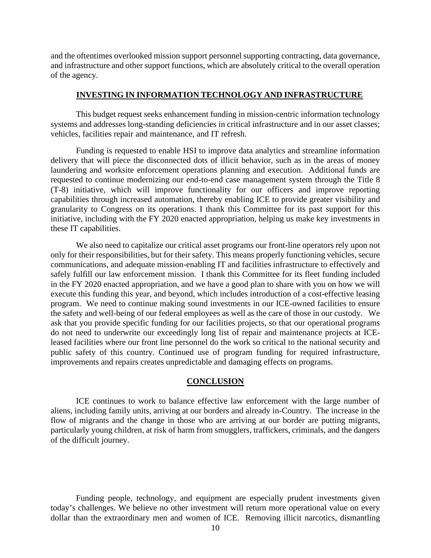and the oftentimes overlooked mission support personnel supporting contracting, data governance, and infrastructure and other support functions, which are absolutely critical to the overall operation of the agency.

# **INVESTING IN INFORMATION TECHNOLOGY AND INFRASTRUCTURE**

This budget request seeks enhancement funding in mission-centric information technology systems and addresses long-standing deficiencies in critical infrastructure and in our asset classes; vehicles, facilities repair and maintenance, and IT refresh.

Funding is requested to enable HSI to improve data analytics and streamline information delivery that will piece the disconnected dots of illicit behavior, such as in the areas of money laundering and worksite enforcement operations planning and execution. Additional funds are requested to continue modernizing our end-to-end case management system through the Title 8 (T-8) initiative, which will improve functionality for our officers and improve reporting capabilities through increased automation, thereby enabling ICE to provide greater visibility and granularity to Congress on its operations. I thank this Committee for its past support for this initiative, including with the FY 2020 enacted appropriation, helping us make key investments in these IT capabilities.

We also need to capitalize our critical asset programs our front-line operators rely upon not only for their responsibilities, but for their safety. This means properly functioning vehicles, secure communications, and adequate mission-enabling IT and facilities infrastructure to effectively and safely fulfill our law enforcement mission. I thank this Committee for its fleet funding included in the FY 2020 enacted appropriation, and we have a good plan to share with you on how we will execute this funding this year, and beyond, which includes introduction of a cost-effective leasing program. We need to continue making sound investments in our ICE-owned facilities to ensure the safety and well-being of our federal employees as well as the care of those in our custody. We ask that you provide specific funding for our facilities projects, so that our operational programs do not need to underwrite our exceedingly long list of repair and maintenance projects at ICEleased facilities where our front line personnel do the work so critical to the national security and public safety of this country. Continued use of program funding for required infrastructure, improvements and repairs creates unpredictable and damaging effects on programs.

#### **CONCLUSION**

ICE continues to work to balance effective law enforcement with the large number of aliens, including family units, arriving at our borders and already in-Country. The increase in the flow of migrants and the change in those who are arriving at our border are putting migrants, particularly young children, at risk of harm from smugglers, traffickers, criminals, and the dangers of the difficult journey.

Funding people, technology, and equipment are especially prudent investments given today's challenges. We believe no other investment will return more operational value on every dollar than the extraordinary men and women of ICE. Removing illicit narcotics, dismantling